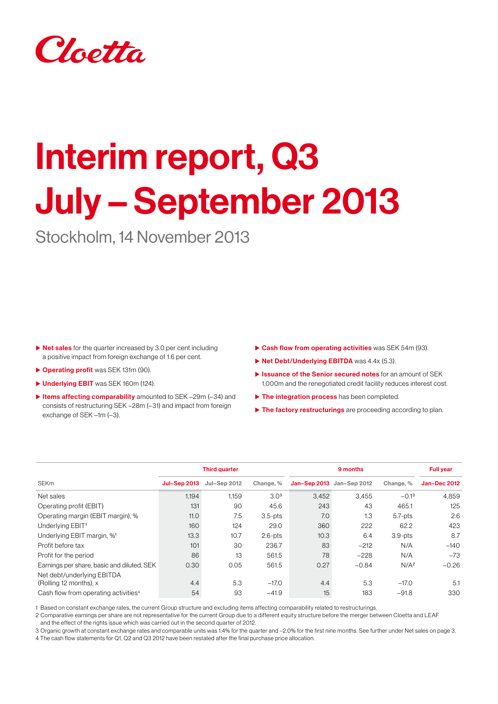

# Interim report, Q3 July – September 2013

Stockholm, 14 November 2013

- $\triangleright$  Net sales for the quarter increased by 3.0 per cent including a positive impact from foreign exchange of 1.6 per cent.
- $\triangleright$  Operating profit was SEK 131m (90).
- ▶ Underlying EBIT was SEK 160m (124).
- $\blacktriangleright$  Items affecting comparability amounted to SEK –29m (–34) and consists of restructuring SEK –28m (–31) and impact from foreign exchange of SEK –1m (–3).
- $\triangleright$  Cash flow from operating activities was SEK 54m (93).
- $\blacktriangleright$  Net Debt/Underlying EBITDA was 4.4x (5.3).
- $\blacktriangleright$  Issuance of the Senior secured notes for an amount of SEK 1,000m and the renegotiated credit facility reduces interest cost.
- $\blacktriangleright$  The integration process has been completed.
- $\triangleright$  The factory restructurings are proceeding according to plan.

|                                                      | <b>Third quarter</b> |              |                  |                           | <b>Full year</b> |                  |                     |
|------------------------------------------------------|----------------------|--------------|------------------|---------------------------|------------------|------------------|---------------------|
| SEKm                                                 | <b>Jul-Sep 2013</b>  | Jul-Sep 2012 | Change, %        | Jan-Sep 2013 Jan-Sep 2012 |                  | Change, %        | <b>Jan-Dec 2012</b> |
| Net sales                                            | 1,194                | 1,159        | 3.0 <sup>3</sup> | 3,452                     | 3,455            | $-0.13$          | 4,859               |
| Operating profit (EBIT)                              | 131                  | 90           | 45.6             | 243                       | 43               | 465.1            | 125                 |
| Operating margin (EBIT margin), %                    | 11.0                 | 7.5          | $3.5$ -pts       | 7.0                       | 1.3              | $5.7 - pts$      | 2.6                 |
| Underlying EBIT <sup>1</sup>                         | 160                  | 124          | 29.0             | 360                       | 222              | 62.2             | 423                 |
| Underlying EBIT margin, % <sup>1</sup>               | 13.3                 | 10.7         | $2.6$ -pts       | 10.3                      | 6.4              | $3.9$ - $pts$    | 8.7                 |
| Profit before tax                                    | 101                  | 30           | 236.7            | 83                        | $-212$           | N/A              | $-140$              |
| Profit for the period                                | 86                   | 13           | 561.5            | 78                        | $-228$           | N/A              | $-73$               |
| Earnings per share, basic and diluted, SEK           | 0.30                 | 0.05         | 561.5            | 0.27                      | $-0.84$          | N/A <sup>2</sup> | $-0.26$             |
| Net debt/underlying EBITDA<br>(Rolling 12 months), x | 4.4                  | 5.3          | $-17.0$          | 4.4                       | 5.3              | $-17.0$          | 5.1                 |
| Cash flow from operating activities <sup>4</sup>     | 54                   | 93           | $-41.9$          | 15                        | 183              | $-91.8$          | 330                 |

1 Based on constant exchange rates, the current Group structure and excluding items affecting comparability related to restructurings.

2 Comparative earnings per share are not representative for the current Group due to a different equity structure before the merger between Cloetta and LEAF

and the effect of the rights issue which was carried out in the second quarter of 2012.

3 Organic growth at constant exchange rates and comparable units was 1.4% for the quarter and –2.0% for the first nine months. See further under Net sales on page 3. 4 The cash flow statements for Q1, Q2 and Q3 2012 have been restated after the final purchase price allocation.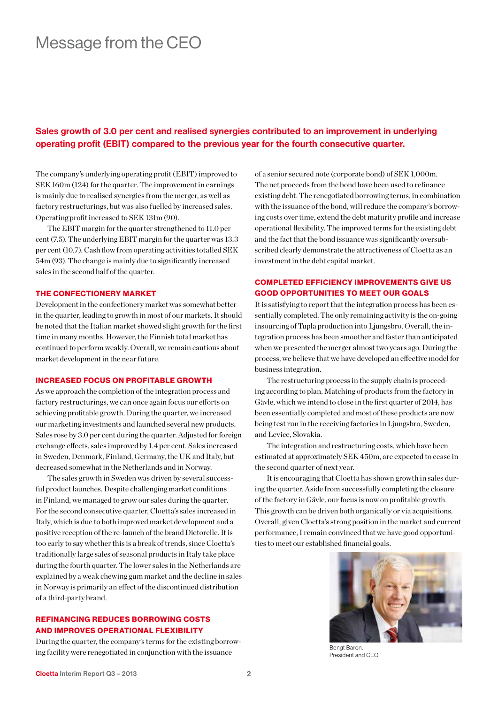### Message from the CEO

#### Sales growth of 3.0 per cent and realised synergies contributed to an improvement in underlying operating profit (EBIT) compared to the previous year for the fourth consecutive quarter.

The company's underlying operating profit (EBIT) improved to SEK 160m (124) for the quarter. The improvement in earnings is mainly due to realised synergies from the merger, as well as factory restructurings, but was also fuelled by increased sales. Operating profit increased to SEK 131m (90).

The EBIT margin for the quarter strengthened to 11.0 per cent (7.5). The underlying EBIT margin for the quarter was 13.3 per cent (10.7). Cash flow from operating activities totalled SEK 54m (93). The change is mainly due to significantly increased sales in the second half of the quarter.

#### THE CONFECTIONERY MARKET

Development in the confectionery market was somewhat better in the quarter, leading to growth in most of our markets. It should be noted that the Italian market showed slight growth for the first time in many months. However, the Finnish total market has continued to perform weakly. Overall, we remain cautious about market development in the near future.

#### INCREASED FOCUS on profitable growth

As we approach the completion of the integration process and factory restructurings, we can once again focus our efforts on achieving profitable growth. During the quarter, we increased our marketing investments and launched several new products. Sales rose by 3.0 per cent during the quarter. Adjusted for foreign exchange effects, sales improved by 1.4 per cent. Sales increased in Sweden, Denmark, Finland, Germany, the UK and Italy, but decreased somewhat in the Netherlands and in Norway.

The sales growth in Sweden was driven by several successful product launches. Despite challenging market conditions in Finland, we managed to grow our sales during the quarter. For the second consecutive quarter, Cloetta's sales increased in Italy, which is due to both improved market development and a positive reception of the re-launch of the brand Dietorelle. It is too early to say whether this is a break of trends, since Cloetta's traditionally large sales of seasonal products in Italy take place during the fourth quarter. The lower sales in the Netherlands are explained by a weak chewing gum market and the decline in sales in Norway is primarily an effect of the discontinued distribution of a third-party brand.

#### REFINANCING reduces borrowing costs and improves operational flexibility

During the quarter, the company's terms for the existing borrowing facility were renegotiated in conjunction with the issuance

of a senior secured note (corporate bond) of SEK 1,000m. The net proceeds from the bond have been used to refinance existing debt. The renegotiated borrowing terms, in combination with the issuance of the bond, will reduce the company's borrowing costs over time, extend the debt maturity profile and increase operational flexibility. The improved terms for the existing debt and the fact that the bond issuance was significantly oversubscribed clearly demonstrate the attractiveness of Cloetta as an investment in the debt capital market.

#### Completed efficiency improvements give us good opportunities to meet our goals

It is satisfying to report that the integration process has been essentially completed. The only remaining activity is the on-going insourcing of Tupla production into Liungsbro. Overall, the integration process has been smoother and faster than anticipated when we presented the merger almost two years ago. During the process, we believe that we have developed an effective model for business integration.

The restructuring process in the supply chain is proceeding according to plan. Matching of products from the factory in Gävle, which we intend to close in the first quarter of 2014, has been essentially completed and most of these products are now being test run in the receiving factories in Ljungsbro, Sweden, and Levice, Slovakia.

The integration and restructuring costs, which have been estimated at approximately SEK 450m, are expected to cease in the second quarter of next year.

It is encouraging that Cloetta has shown growth in sales during the quarter. Aside from successfully completing the closure of the factory in Gävle, our focus is now on profitable growth. This growth can be driven both organically or via acquisitions. Overall, given Cloetta's strong position in the market and current performance, I remain convinced that we have good opportunities to meet our established financial goals.



Bengt Baron, President and CEO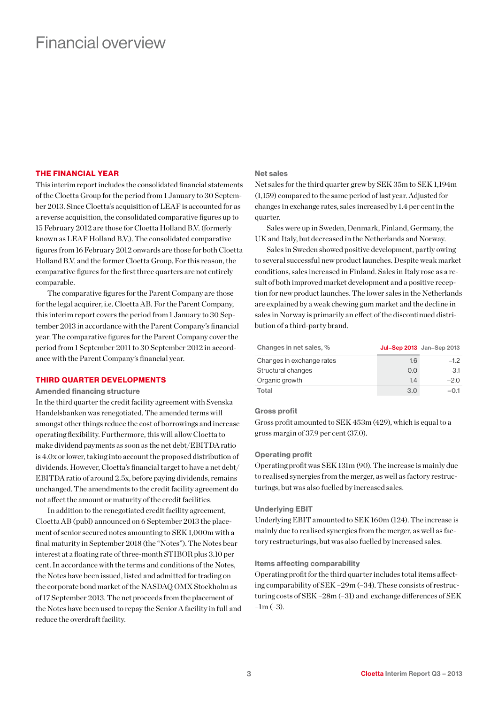### Financial overview

#### THE FINANCIAL YEAR

This interim report includes the consolidated financial statements of the Cloetta Group for the period from 1 January to 30 September 2013. Since Cloetta's acquisition of LEAF is accounted for as a reverse acquisition, the consolidated comparative figures up to 15 February 2012 are those for Cloetta Holland B.V. (formerly known as LEAF Holland B.V.). The consolidated comparative figures from 16 February 2012 onwards are those for both Cloetta Holland B.V. and the former Cloetta Group. For this reason, the comparative figures for the first three quarters are not entirely comparable.

The comparative figures for the Parent Company are those for the legal acquirer, i.e. Cloetta AB. For the Parent Company, this interim report covers the period from 1 January to 30 September 2013 in accordance with the Parent Company's financial year. The comparative figures for the Parent Company cover the period from 1 September 2011 to 30 September 2012 in accordance with the Parent Company's financial year.

#### THIRD QUARTER DEVELOPMENTS

#### Amended financing structure

In the third quarter the credit facility agreement with Svenska Handelsbanken was renegotiated. The amended terms will amongst other things reduce the cost of borrowings and increase operating flexibility. Furthermore, this will allow Cloetta to make dividend payments as soon as the net debt/EBITDA ratio is 4.0x or lower, taking into account the proposed distribution of dividends. However, Cloetta's financial target to have a net debt/ EBITDA ratio of around 2.5x, before paying dividends, remains unchanged. The amendments to the credit facility agreement do not affect the amount or maturity of the credit facilities.

In addition to the renegotiated credit facility agreement, Cloetta AB (publ) announced on 6 September 2013 the placement of senior secured notes amounting to SEK 1,000m with a final maturity in September 2018 (the "Notes"). The Notes bear interest at a floating rate of three-month STIBOR plus 3.10 per cent. In accordance with the terms and conditions of the Notes, the Notes have been issued, listed and admitted for trading on the corporate bond market of the NASDAQ OMX Stockholm as of 17 September 2013. The net proceeds from the placement of the Notes have been used to repay the Senior A facility in full and reduce the overdraft facility.

#### Net sales

Net sales for the third quarter grew by SEK 35m to SEK 1,194m (1,159) compared to the same period of last year. Adjusted for changes in exchange rates, sales increased by 1.4 per cent in the quarter.

Sales were up in Sweden, Denmark, Finland, Germany, the UK and Italy, but decreased in the Netherlands and Norway.

Sales in Sweden showed positive development, partly owing to several successful new product launches. Despite weak market conditions, sales increased in Finland. Sales in Italy rose as a result of both improved market development and a positive reception for new product launches. The lower sales in the Netherlands are explained by a weak chewing gum market and the decline in sales in Norway is primarily an effect of the discontinued distribution of a third-party brand.

| Changes in net sales, %   |     | <b>Jul-Sep 2013</b> Jan-Sep 2013 |
|---------------------------|-----|----------------------------------|
| Changes in exchange rates | 1.6 | $-12$                            |
| Structural changes        | 0.0 | 3.1                              |
| Organic growth            | 14  | $-20$                            |
| Total                     | 3.0 | -0.1                             |

#### Gross profit

Gross profit amounted to SEK 453m (429), which is equal to a gross margin of 37.9 per cent (37.0).

#### Operating profit

Operating profit was SEK 131m (90). The increase is mainly due to realised synergies from the merger, as well as factory restructurings, but was also fuelled by increased sales.

#### Underlying EBIT

Underlying EBIT amounted to SEK 160m (124). The increase is mainly due to realised synergies from the merger, as well as factory restructurings, but was also fuelled by increased sales.

#### Items affecting comparability

Operating profit for the third quarter includes total items affecting comparability of SEK –29m (–34). These consists of restructuring costs of SEK –28m (–31) and exchange differences of SEK  $-1m(-3)$ .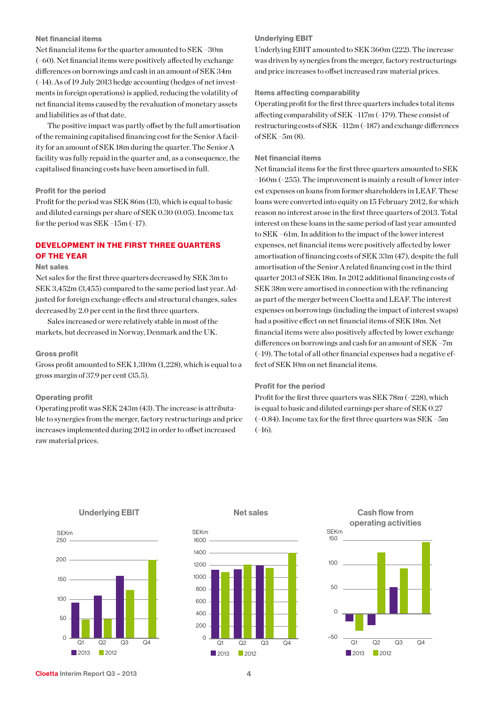#### Net financial items

Net financial items for the quarter amounted to SEK –30m (–60). Net financial items were positively affected by exchange differences on borrowings and cash in an amount of SEK 34m (–14). As of 19 July 2013 hedge accounting (hedges of net investments in foreign operations) is applied, reducing the volatility of net financial items caused by the revaluation of monetary assets and liabilities as of that date.

The positive impact was partly offset by the full amortisation of the remaining capitalised financing cost for the Senior A facility for an amount of SEK 18m during the quarter. The Senior A facility was fully repaid in the quarter and, as a consequence, the capitalised financing costs have been amortised in full.

#### Profit for the period

Profit for the period was SEK 86m (13), which is equal to basic and diluted earnings per share of SEK 0.30 (0.05). Income tax for the period was SEK –15m (–17).

#### DEVELOPMENT IN THE FIRST THREE QUARTERS OF THE YEAR

#### Net sales

Net sales for the first three quarters decreased by SEK 3m to SEK 3,452m (3,455) compared to the same period last year. Adjusted for foreign exchange effects and structural changes, sales decreased by 2.0 per cent in the first three quarters.

Sales increased or were relatively stable in most of the markets, but decreased in Norway, Denmark and the UK.

#### Gross profit

Gross profit amounted to SEK 1,310m (1,228), which is equal to a gross margin of 37.9 per cent (35.5).

#### Operating profit

Operating profit was SEK 243m (43). The increase is attributable to synergies from the merger, factory restructurings and price increases implemented during 2012 in order to offset increased raw material prices.

#### Underlying EBIT

Underlying EBIT amounted to SEK 360m (222). The increase was driven by synergies from the merger, factory restructurings and price increases to offset increased raw material prices.

#### Items affecting comparability

Operating profit for the first three quarters includes total items affecting comparability of SEK –117m (–179). These consist of restructuring costs of SEK –112m (–187) and exchange differences of SEK –5m (8).

#### Net financial items

Net financial items for the first three quarters amounted to SEK –160m (–255). The improvement is mainly a result of lower interest expenses on loans from former shareholders in LEAF. These loans were converted into equity on 15 February 2012, for which reason no interest arose in the first three quarters of 2013. Total interest on these loans in the same period of last year amounted to SEK –61m. In addition to the impact of the lower interest expenses, net financial items were positively affected by lower amortisation of financing costs of SEK 33m (47), despite the full amortisation of the Senior A related financing cost in the third quarter 2013 of SEK 18m. In 2012 additional financing costs of SEK 38m were amortised in connection with the refinancing as part of the merger between Cloetta and LEAF. The interest expenses on borrowings (including the impact of interest swaps) had a positive effect on net financial items of SEK 18m. Net financial items were also positively affected by lower exchange differences on borrowings and cash for an amount of SEK –7m (–19). The total of all other financial expenses had a negative effect of SEK 10m on net financial items.

#### Profit for the period

Profit for the first three quarters was SEK 78m (–228), which is equal to basic and diluted earnings per share of SEK 0.27 (–0.84). Income tax for the first three quarters was SEK –5m  $(-16)$ .



Underlying EBIT

#### Net sales





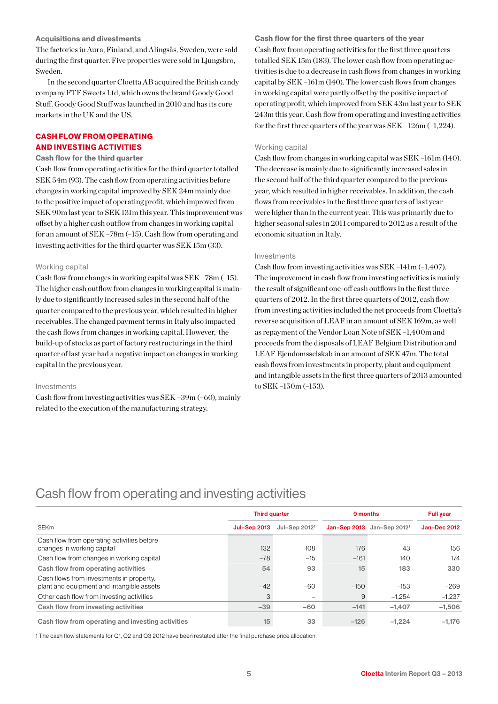#### Acquisitions and divestments

The factories in Aura, Finland, and Alingsås, Sweden, were sold during the first quarter. Five properties were sold in Ljungsbro, Sweden.

In the second quarter Cloetta AB acquired the British candy company FTF Sweets Ltd, which owns the brand Goody Good Stuff. Goody Good Stuff was launched in 2010 and has its core markets in the UK and the US.

#### CASH FLOW FROM OPERATING AND INVESTING ACTIVITIES

#### Cash flow for the third quarter

Cash flow from operating activities for the third quarter totalled SEK 54m (93). The cash flow from operating activities before changes in working capital improved by SEK 24m mainly due to the positive impact of operating profit, which improved from SEK 90m last year to SEK 131m this year. This improvement was offset by a higher cash outflow from changes in working capital for an amount of SEK –78m (–15). Cash flow from operating and investing activities for the third quarter was SEK 15m (33).

#### Working capital

Cash flow from changes in working capital was SEK –78m (–15). The higher cash outflow from changes in working capital is mainly due to significantly increased sales in the second half of the quarter compared to the previous year, which resulted in higher receivables. The changed payment terms in Italy also impacted the cash flows from changes in working capital. However, the build-up of stocks as part of factory restructurings in the third quarter of last year had a negative impact on changes in working capital in the previous year.

#### Investments

Cash flow from investing activities was SEK –39m (–60), mainly related to the execution of the manufacturing strategy.

Cash flow for the first three quarters of the year Cash flow from operating activities for the first three quarters totalled SEK 15m (183). The lower cash flow from operating activities is due to a decrease in cash flows from changes in working capital by SEK –161m (140). The lower cash flows from changes in working capital were partly offset by the positive impact of operating profit, which improved from SEK 43m last year to SEK 243m this year. Cash flow from operating and investing activities for the first three quarters of the year was SEK –126m (–1,224).

#### Working capital

Cash flow from changes in working capital was SEK –161m (140). The decrease is mainly due to significantly increased sales in the second half of the third quarter compared to the previous year, which resulted in higher receivables. In addition, the cash flows from receivables in the first three quarters of last year were higher than in the current year. This was primarily due to higher seasonal sales in 2011 compared to 2012 as a result of the economic situation in Italy.

#### Investments

Cash flow from investing activities was SEK –141m (–1,407). The improvement in cash flow from investing activities is mainly the result of significant one-off cash outflows in the first three quarters of 2012. In the first three quarters of 2012, cash flow from investing activities included the net proceeds from Cloetta's reverse acquisition of LEAF in an amount of SEK 169m, as well as repayment of the Vendor Loan Note of SEK –1,400m and proceeds from the disposals of LEAF Belgium Distribution and LEAF Ejendomsselskab in an amount of SEK 47m. The total cash flows from investments in property, plant and equipment and intangible assets in the first three quarters of 2013 amounted to SEK –150m (–153).

### Cash flow from operating and investing activities

|                                                                                       | <b>Third quarter</b> |                           | 9 months     | <b>Full year</b> |                     |  |
|---------------------------------------------------------------------------------------|----------------------|---------------------------|--------------|------------------|---------------------|--|
| SEKm                                                                                  | <b>Jul-Sep 2013</b>  | Jul-Sep 2012 <sup>1</sup> | Jan-Sep 2013 | Jan-Sep $20121$  | <b>Jan-Dec 2012</b> |  |
| Cash flow from operating activities before<br>changes in working capital              | 132                  | 108                       | 176          | 43               | 156                 |  |
| Cash flow from changes in working capital                                             | $-78$                | $-15$                     | $-161$       | 140              | 174                 |  |
| Cash flow from operating activities                                                   | 54                   | 93                        | 15           | 183              | 330                 |  |
| Cash flows from investments in property.<br>plant and equipment and intangible assets | $-42$                | $-60$                     | $-150$       | $-153$           | $-269$              |  |
| Other cash flow from investing activities                                             | 3                    |                           | 9            | $-1.254$         | $-1,237$            |  |
| Cash flow from investing activities                                                   | $-39$                | $-60$                     | $-141$       | $-1.407$         | $-1.506$            |  |
| Cash flow from operating and investing activities                                     | 15                   | 33                        | $-126$       | $-1.224$         | $-1,176$            |  |

1 The cash flow statements for Q1, Q2 and Q3 2012 have been restated after the final purchase price allocation.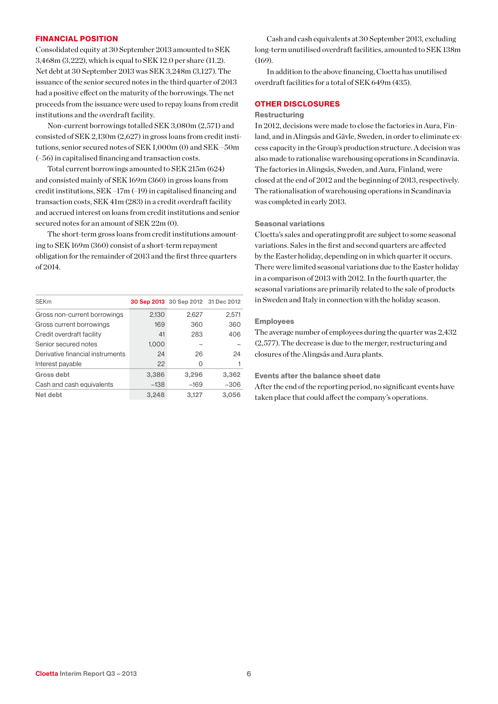#### FINANCIAL POSITION

Consolidated equity at 30 September 2013 amounted to SEK 3,468m (3,222), which is equal to SEK 12.0 per share (11.2). Net debt at 30 September 2013 was SEK 3,248m (3,127). The issuance of the senior secured notes in the third quarter of 2013 had a positive effect on the maturity of the borrowings. The net proceeds from the issuance were used to repay loans from credit institutions and the overdraft facility.

Non-current borrowings totalled SEK 3,080m (2,571) and consisted of SEK 2,130m (2,627) in gross loans from credit institutions, senior secured notes of SEK 1,000m (0) and SEK –50m (–56) in capitalised financing and transaction costs.

Total current borrowings amounted to SEK 215m (624) and consisted mainly of SEK 169m (360) in gross loans from credit institutions, SEK –17m (–19) in capitalised financing and transaction costs, SEK 41m (283) in a credit overdraft facility and accrued interest on loans from credit institutions and senior secured notes for an amount of SEK 22m (0).

The short-term gross loans from credit institutions amounting to SEK 169m (360) consist of a short-term repayment obligation for the remainder of 2013 and the first three quarters of 2014.

| <b>SEKm</b>                      |        | 30 Sep 2013 30 Sep 2012 31 Dec 2012 |        |
|----------------------------------|--------|-------------------------------------|--------|
| Gross non-current borrowings     | 2,130  | 2.627                               | 2.571  |
| Gross current borrowings         | 169    | 360                                 | 360    |
| Credit overdraft facility        | 41     | 283                                 | 406    |
| Senior secured notes             | 1.000  |                                     |        |
| Derivative financial instruments | 24     | 26                                  | 24     |
| Interest payable                 | 22     | Ω                                   |        |
| Gross debt                       | 3,386  | 3,296                               | 3,362  |
| Cash and cash equivalents        | $-138$ | $-169$                              | $-306$ |
| Net debt                         | 3.248  | 3.127                               | 3.056  |

Cash and cash equivalents at 30 September 2013, excluding long-term unutilised overdraft facilities, amounted to SEK 138m (169).

In addition to the above financing, Cloetta has unutilised overdraft facilities for a total of SEK 649m (435).

#### OTHER DISCLOSURES

#### **Restructuring**

In 2012, decisions were made to close the factories in Aura, Finland, and in Alingsås and Gävle, Sweden, in order to eliminate excess capacity in the Group's production structure. A decision was also made to rationalise warehousing operations in Scandinavia. The factories in Alingsås, Sweden, and Aura, Finland, were closed at the end of 2012 and the beginning of 2013, respectively. The rationalisation of warehousing operations in Scandinavia was completed in early 2013.

#### Seasonal variations

Cloetta's sales and operating profit are subject to some seasonal variations. Sales in the first and second quarters are affected by the Easter holiday, depending on in which quarter it occurs. There were limited seasonal variations due to the Easter holiday in a comparison of 2013 with 2012. In the fourth quarter, the seasonal variations are primarily related to the sale of products in Sweden and Italy in connection with the holiday season.

#### Employees

The average number of employees during the quarter was 2,432 (2,577). The decrease is due to the merger, restructuring and closures of the Alingsås and Aura plants.

#### Events after the balance sheet date

After the end of the reporting period, no significant events have taken place that could affect the company's operations.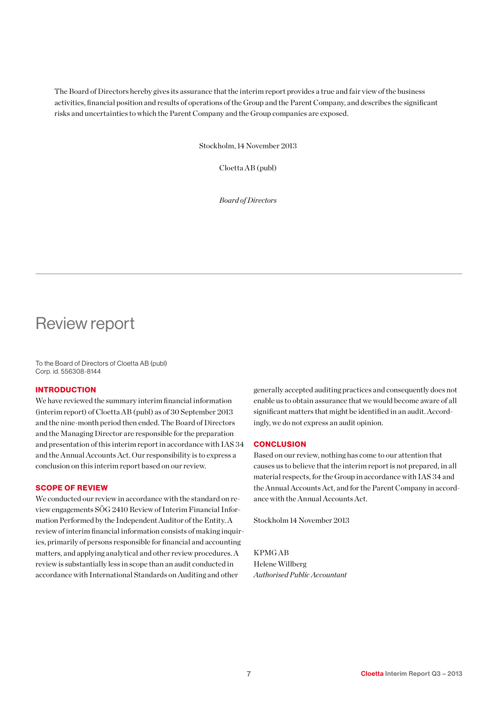The Board of Directors hereby gives its assurance that the interim report provides a true and fair view of the business activities, financial position and results of operations of the Group and the Parent Company, and describes the significant risks and uncertainties to which the Parent Company and the Group companies are exposed.

Stockholm, 14 November 2013

Cloetta AB (publ)

*Board of Directors*

### Review report

To the Board of Directors of Cloetta AB (publ) Corp. id. 556308-8144

#### **INTRODUCTION**

We have reviewed the summary interim financial information (interim report) of Cloetta AB (publ) as of 30 September 2013 and the nine-month period then ended. The Board of Directors and the Managing Director are responsible for the preparation and presentation of this interim report in accordance with IAS 34 and the Annual Accounts Act. Our responsibility is to express a conclusion on this interim report based on our review.

#### Scope of review

We conducted our review in accordance with the standard on review engagements SÖG 2410 Review of Interim Financial Information Performed by the Independent Auditor of the Entity. A review of interim financial information consists of making inquiries, primarily of persons responsible for financial and accounting matters, and applying analytical and other review procedures. A review is substantially less in scope than an audit conducted in accordance with International Standards on Auditing and other

generally accepted auditing practices and consequently does not enable us to obtain assurance that we would become aware of all significant matters that might be identified in an audit. Accordingly, we do not express an audit opinion.

#### **CONCLUSION**

Based on our review, nothing has come to our attention that causes us to believe that the interim report is not prepared, in all material respects, for the Group in accordance with IAS 34 and the Annual Accounts Act, and for the Parent Company in accordance with the Annual Accounts Act.

Stockholm 14 November 2013

KPMG AB Helene Willberg *Authorised Public Accountant*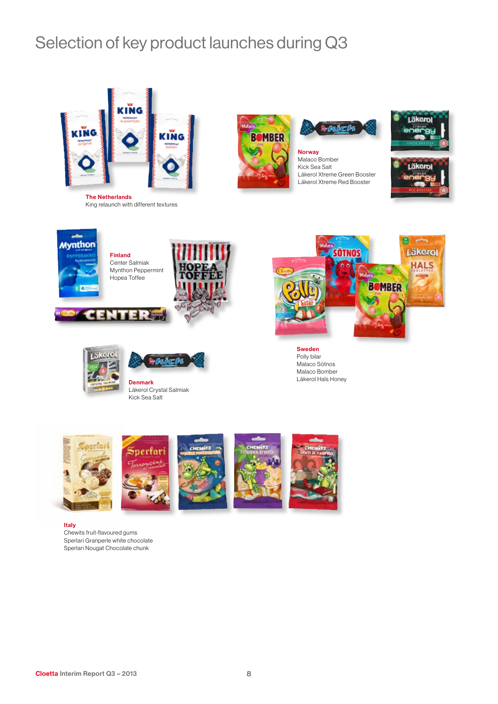# Selection of key product launches during Q3



The Netherlands King relaunch with different textures





Norway Malaco Bomber Kick Sea Salt Läkerol Xtreme Green Booster Läkerol Xtreme Red Booster







Finland Center Salmiak Mynthon Peppermint Hopea Toffee









Denmark Läkerol Crystal Salmiak Kick Sea Salt



Sweden Polly bilar Malaco Sötnos Malaco Bomber Läkerol Hals Honey



Italy

Chewits fruit-flavoured gums Sperlari Granperle white chocolate Sperlari Nougat Chocolate chunk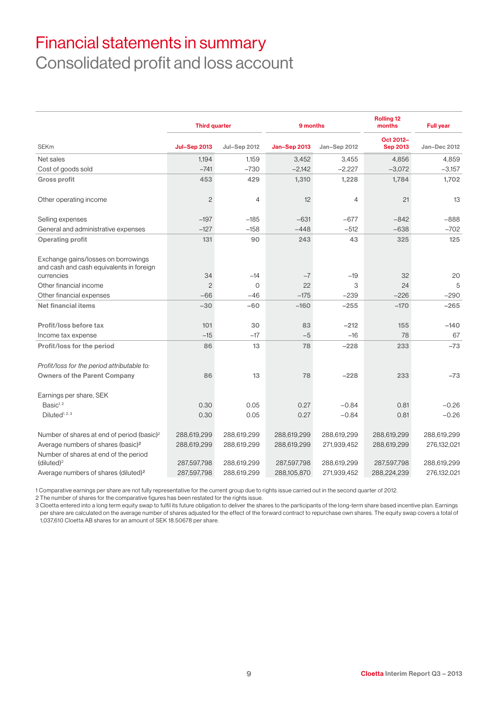### Financial statements in summary Consolidated profit and loss account

|                                                                                 | <b>Third quarter</b>    |                   | 9 months     |                | <b>Rolling 12</b><br>months  | <b>Full year</b> |
|---------------------------------------------------------------------------------|-------------------------|-------------------|--------------|----------------|------------------------------|------------------|
| <b>SEKm</b>                                                                     | <b>Jul-Sep 2013</b>     | Jul-Sep 2012      | Jan-Sep 2013 | Jan-Sep 2012   | Oct 2012-<br><b>Sep 2013</b> | Jan-Dec 2012     |
| Net sales                                                                       | 1,194                   | 1,159             | 3,452        | 3,455          | 4,856                        | 4,859            |
| Cost of goods sold                                                              | $-741$                  | $-730$            | $-2,142$     | $-2,227$       | $-3,072$                     | $-3,157$         |
| <b>Gross profit</b>                                                             | 453                     | 429               | 1,310        | 1,228          | 1,784                        | 1,702            |
| Other operating income                                                          | $\overline{c}$          | $\overline{4}$    | 12           | $\overline{4}$ | 21                           | 13               |
| Selling expenses                                                                | $-197$                  | $-185$            | $-631$       | $-677$         | $-842$                       | $-888$           |
| General and administrative expenses                                             | $-127$                  | $-158$            | $-448$       | $-512$         | $-638$                       | $-702$           |
| <b>Operating profit</b>                                                         | 131                     | 90                | 243          | 43             | 325                          | 125              |
| Exchange gains/losses on borrowings<br>and cash and cash equivalents in foreign |                         |                   |              |                |                              | 20               |
| currencies                                                                      | 34                      | $-14$<br>$\Omega$ | $-7$         | $-19$<br>3     | 32                           |                  |
| Other financial income<br>Other financial expenses                              | $\overline{c}$<br>$-66$ | $-46$             | 22<br>$-175$ | $-239$         | 24<br>$-226$                 | 5<br>$-290$      |
| <b>Net financial items</b>                                                      | $-30$                   | $-60$             | $-160$       | $-255$         | $-170$                       | $-265$           |
|                                                                                 |                         |                   |              |                |                              |                  |
| Profit/loss before tax                                                          | 101                     | 30                | 83           | $-212$         | 155                          | $-140$           |
| Income tax expense                                                              | $-15$                   | $-17$             | $-5$         | $-16$          | 78                           | 67               |
| Profit/loss for the period                                                      | 86                      | 13                | 78           | $-228$         | 233                          | $-73$            |
| Profit/loss for the period attributable to:                                     |                         |                   |              |                |                              |                  |
| <b>Owners of the Parent Company</b>                                             | 86                      | 13                | 78           | $-228$         | 233                          | $-73$            |
| Earnings per share, SEK                                                         |                         |                   |              |                |                              |                  |
| Basic <sup>1, 2</sup>                                                           | 0.30                    | 0.05              | 0.27         | $-0.84$        | 0.81                         | $-0.26$          |
| Diluted <sup>1, 2, 3</sup>                                                      | 0.30                    | 0.05              | 0.27         | $-0.84$        | 0.81                         | $-0.26$          |
| Number of shares at end of period (basic) <sup>2</sup>                          | 288,619,299             | 288,619,299       | 288,619,299  | 288,619,299    | 288,619,299                  | 288,619,299      |
| Average numbers of shares (basic) <sup>2</sup>                                  | 288,619,299             | 288,619,299       | 288,619,299  | 271,939,452    | 288,619,299                  | 276,132,021      |
| Number of shares at end of the period<br>(diluted) <sup>2</sup>                 | 287,597,798             | 288,619,299       | 287,597,798  | 288,619,299    | 287,597,798                  | 288,619,299      |
| Average numbers of shares (diluted) <sup>2</sup>                                | 287,597,798             | 288,619,299       | 288,105,870  | 271,939,452    | 288,224,239                  | 276,132,021      |

1 Comparative earnings per share are not fully representative for the current group due to rights issue carried out in the second quarter of 2012.

2 The number of shares for the comparative figures has been restated for the rights issue.

3 Cloetta entered into a long term equity swap to fulfil its future obligation to deliver the shares to the participants of the long-term share based incentive plan. Earnings per share are calculated on the average number of shares adjusted for the effect of the forward contract to repurchase own shares. The equity swap covers a total of 1,037,610 Cloetta AB shares for an amount of SEK 18.50678 per share.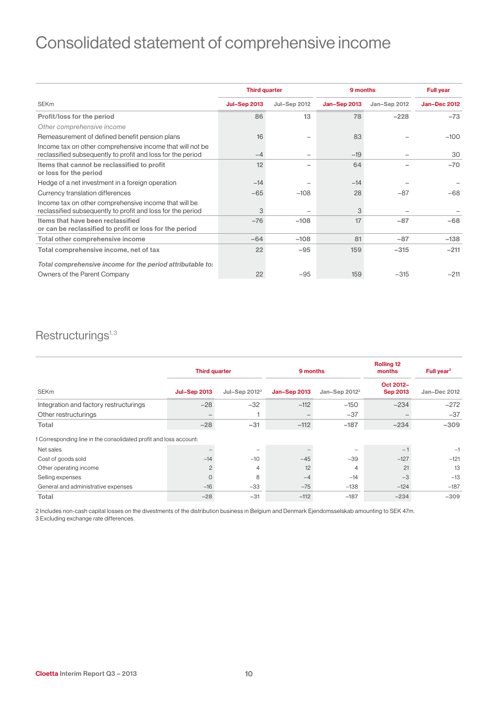# Consolidated statement of comprehensive income

|                                                                                                                          | <b>Third quarter</b> |                     | 9 months     | <b>Full year</b> |                     |
|--------------------------------------------------------------------------------------------------------------------------|----------------------|---------------------|--------------|------------------|---------------------|
| <b>SEKm</b>                                                                                                              | <b>Jul-Sep 2013</b>  | <b>Jul-Sep 2012</b> | Jan-Sep 2013 | Jan-Sep 2012     | <b>Jan-Dec 2012</b> |
| Profit/loss for the period                                                                                               | 86                   | 13                  | 78           | $-228$           | $-73$               |
| Other comprehensive income                                                                                               |                      |                     |              |                  |                     |
| Remeasurement of defined benefit pension plans                                                                           | 16                   |                     | 83           |                  | $-100$              |
| Income tax on other comprehensive income that will not be<br>reclassified subsequently to profit and loss for the period | $-4$                 |                     | $-19$        |                  | 30                  |
| Items that cannot be reclassified to profit<br>or loss for the period                                                    | 12                   |                     | 64           |                  | $-70$               |
| Hedge of a net investment in a foreign operation                                                                         | $-14$                |                     | $-14$        |                  |                     |
| Currency translation differences                                                                                         | $-65$                | $-108$              | 28           | $-87$            | $-68$               |
| Income tax on other comprehensive income that will be<br>reclassified subsequently to profit and loss for the period     | 3                    |                     | 3            |                  |                     |
| Items that have been reclassified<br>or can be reclassified to profit or loss for the period                             | $-76$                | $-108$              | 17           | $-87$            | $-68$               |
| Total other comprehensive income                                                                                         | $-64$                | $-108$              | 81           | $-87$            | $-138$              |
| Total comprehensive income, net of tax                                                                                   | 22                   | $-95$               | 159          | $-315$           | $-211$              |
| Total comprehensive income for the period attributable to:                                                               |                      |                     |              |                  |                     |
| Owners of the Parent Company                                                                                             | 22                   | $-95$               | 159          | $-315$           | $-211$              |

### $Restructurings<sup>1,3</sup>$

|                                                                   | <b>Third quarter</b> |                           | 9 months     |                  | <b>Rolling 12</b><br>months  | Full year <sup>2</sup> |
|-------------------------------------------------------------------|----------------------|---------------------------|--------------|------------------|------------------------------|------------------------|
| <b>SEKm</b>                                                       | <b>Jul-Sep 2013</b>  | Jul-Sep 2012 <sup>2</sup> | Jan-Sep 2013 | Jan-Sep $2012^2$ | Oct 2012-<br><b>Sep 2013</b> | Jan-Dec 2012           |
| Integration and factory restructurings                            | $-28$                | $-32$                     | $-112$       | $-150$           | $-234$                       | $-272$                 |
| Other restructurings                                              | -                    |                           |              | $-37$            |                              | $-37$                  |
| Total                                                             | $-28$                | $-31$                     | $-112$       | $-187$           | $-234$                       | $-309$                 |
| 1 Corresponding line in the consolidated profit and loss account: |                      |                           |              |                  |                              |                        |
| Net sales                                                         |                      |                           |              |                  | $-1$                         | $-1$                   |
| Cost of goods sold                                                | $-14$                | $-10$                     | $-45$        | $-39$            | $-127$                       | $-121$                 |
| Other operating income                                            | $\overline{c}$       | 4                         | 12           | $\overline{4}$   | 21                           | 13                     |
| Selling expenses                                                  | $\mathbf{O}$         | 8                         | $-4$         | $-14$            | $-3$                         | $-13$                  |
| General and administrative expenses                               | $-16$                | $-33$                     | $-75$        | $-138$           | $-124$                       | $-187$                 |
| Total                                                             | $-28$                | $-31$                     | $-112$       | $-187$           | $-234$                       | $-309$                 |

2 Includes non-cash capital losses on the divestments of the distribution business in Belgium and Denmark Ejendomsselskab amounting to SEK 47m.

3 Excluding exchange rate differences.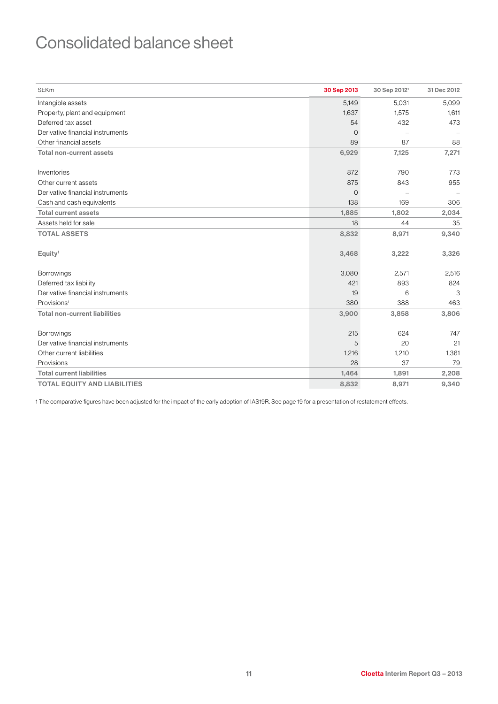### Consolidated balance sheet

| <b>SEKm</b>                          | 30 Sep 2013    | 30 Sep 2012 <sup>1</sup> | 31 Dec 2012 |
|--------------------------------------|----------------|--------------------------|-------------|
| Intangible assets                    | 5,149          | 5,031                    | 5,099       |
| Property, plant and equipment        | 1,637          | 1,575                    | 1,611       |
| Deferred tax asset                   | 54             | 432                      | 473         |
| Derivative financial instruments     | $\overline{O}$ | $\overline{\phantom{0}}$ |             |
| Other financial assets               | 89             | 87                       | 88          |
| <b>Total non-current assets</b>      | 6,929          | 7,125                    | 7,271       |
| Inventories                          | 872            | 790                      | 773         |
| Other current assets                 | 875            | 843                      | 955         |
| Derivative financial instruments     | $\overline{O}$ |                          |             |
| Cash and cash equivalents            | 138            | 169                      | 306         |
| <b>Total current assets</b>          | 1,885          | 1,802                    | 2,034       |
| Assets held for sale                 | 18             | 44                       | 35          |
| <b>TOTAL ASSETS</b>                  | 8,832          | 8,971                    | 9,340       |
| Equity <sup>1</sup>                  | 3,468          | 3,222                    | 3,326       |
| <b>Borrowings</b>                    | 3,080          | 2,571                    | 2,516       |
| Deferred tax liability               | 421            | 893                      | 824         |
| Derivative financial instruments     | 19             | 6                        | 3           |
| Provisions <sup>1</sup>              | 380            | 388                      | 463         |
| <b>Total non-current liabilities</b> | 3,900          | 3,858                    | 3,806       |
| <b>Borrowings</b>                    | 215            | 624                      | 747         |
| Derivative financial instruments     | 5              | 20                       | 21          |
| Other current liabilities            | 1,216          | 1,210                    | 1,361       |
| Provisions                           | 28             | 37                       | 79          |
| <b>Total current liabilities</b>     | 1,464          | 1,891                    | 2,208       |
| <b>TOTAL EQUITY AND LIABILITIES</b>  | 8,832          | 8,971                    | 9,340       |

1 The comparative figures have been adjusted for the impact of the early adoption of IAS19R. See page 19 for a presentation of restatement effects.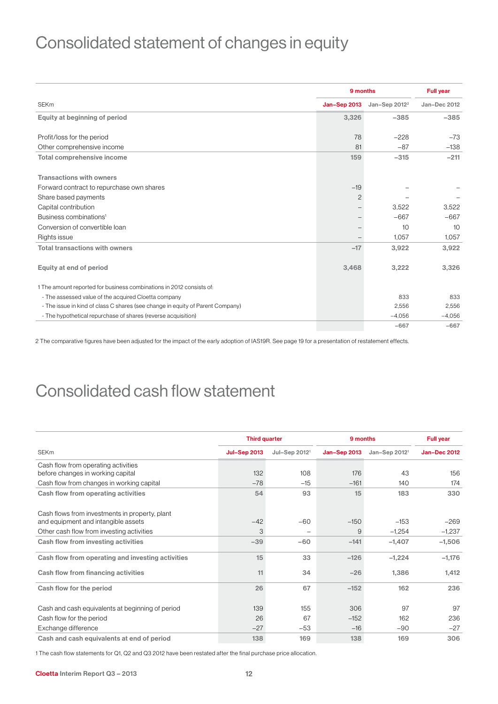# Consolidated statement of changes in equity

| <b>SEKm</b><br>Jan-Sep 2013<br>Jan-Sep 2012 <sup>2</sup><br>Jan-Dec 2012<br>3,326<br>$-385$<br>$-385$<br>Equity at beginning of period<br>Profit/loss for the period<br>78<br>$-228$<br>$-73$ |
|-----------------------------------------------------------------------------------------------------------------------------------------------------------------------------------------------|
|                                                                                                                                                                                               |
|                                                                                                                                                                                               |
|                                                                                                                                                                                               |
|                                                                                                                                                                                               |
| Other comprehensive income<br>81<br>$-87$<br>$-138$                                                                                                                                           |
| $-315$<br><b>Total comprehensive income</b><br>159<br>$-211$                                                                                                                                  |
|                                                                                                                                                                                               |
| <b>Transactions with owners</b>                                                                                                                                                               |
| Forward contract to repurchase own shares<br>$-19$                                                                                                                                            |
| Share based payments<br>$\overline{c}$                                                                                                                                                        |
| Capital contribution<br>3,522<br>3,522                                                                                                                                                        |
| Business combinations <sup>1</sup><br>$-667$<br>$-667$                                                                                                                                        |
| Conversion of convertible loan<br>10<br>10                                                                                                                                                    |
| 1.057<br>Rights issue<br>1.057                                                                                                                                                                |
| <b>Total transactions with owners</b><br>$-17$<br>3,922<br>3,922                                                                                                                              |
|                                                                                                                                                                                               |
| Equity at end of period<br>3,468<br>3,222<br>3,326                                                                                                                                            |
| 1 The amount reported for business combinations in 2012 consists of:                                                                                                                          |
| - The assessed value of the acquired Cloetta company<br>833<br>833                                                                                                                            |
| - The issue in kind of class C shares (see change in equity of Parent Company)<br>2,556<br>2.556                                                                                              |
| - The hypothetical repurchase of shares (reverse acquisition)<br>$-4.056$<br>$-4,056$                                                                                                         |
| $-667$<br>$-667$                                                                                                                                                                              |

2 The comparative figures have been adjusted for the impact of the early adoption of IAS19R. See page 19 for a presentation of restatement effects.

### Consolidated cash flow statement

|                                                                                       | <b>Third quarter</b> |                           | 9 months     | <b>Full year</b>          |                     |
|---------------------------------------------------------------------------------------|----------------------|---------------------------|--------------|---------------------------|---------------------|
| <b>SEKm</b>                                                                           | <b>Jul-Sep 2013</b>  | Jul-Sep 2012 <sup>1</sup> | Jan-Sep 2013 | Jan-Sep 2012 <sup>1</sup> | <b>Jan-Dec 2012</b> |
| Cash flow from operating activities<br>before changes in working capital              | 132                  | 108                       | 176          | 43                        | 156                 |
| Cash flow from changes in working capital                                             | $-78$                | $-15$                     | $-161$       | 140                       | 174                 |
| Cash flow from operating activities                                                   | 54                   | 93                        | 15           | 183                       | 330                 |
| Cash flows from investments in property, plant<br>and equipment and intangible assets | $-42$                | $-60$                     | $-150$       | $-153$                    | $-269$              |
| Other cash flow from investing activities                                             | 3                    |                           | 9            | $-1,254$                  | $-1,237$            |
| Cash flow from investing activities                                                   | $-39$                | $-60$                     | $-141$       | $-1,407$                  | $-1,506$            |
| Cash flow from operating and investing activities                                     | 15                   | 33                        | $-126$       | $-1,224$                  | $-1,176$            |
| Cash flow from financing activities                                                   | 11                   | 34                        | $-26$        | 1,386                     | 1,412               |
| Cash flow for the period                                                              | 26                   | 67                        | $-152$       | 162                       | 236                 |
| Cash and cash equivalents at beginning of period                                      | 139                  | 155                       | 306          | 97                        | 97                  |
| Cash flow for the period                                                              | 26                   | 67                        | $-152$       | 162                       | 236                 |
| Exchange difference                                                                   | $-27$                | $-53$                     | $-16$        | $-90$                     | $-27$               |
| Cash and cash equivalents at end of period                                            | 138                  | 169                       | 138          | 169                       | 306                 |

1 The cash flow statements for Q1, Q2 and Q3 2012 have been restated after the final purchase price allocation.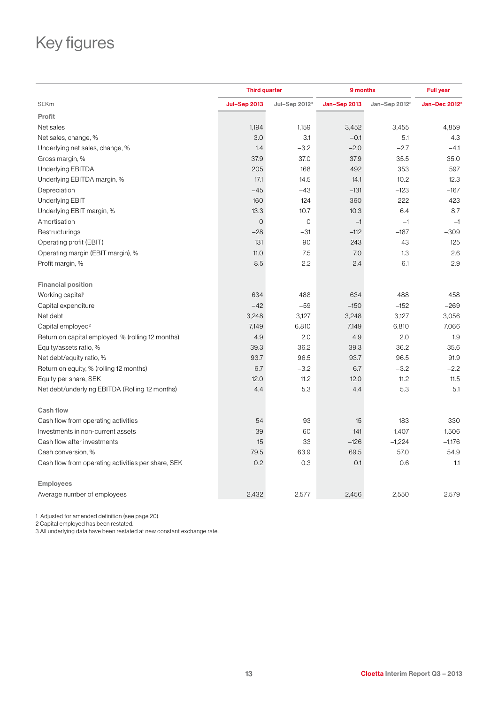# Key figures

|                                                    | <b>Third quarter</b> |                  | 9 months     | <b>Full year</b>          |                           |
|----------------------------------------------------|----------------------|------------------|--------------|---------------------------|---------------------------|
| <b>SEKm</b>                                        | <b>Jul-Sep 2013</b>  | Jul-Sep $2012^3$ | Jan-Sep 2013 | Jan-Sep 2012 <sup>3</sup> | Jan-Dec 2012 <sup>3</sup> |
| Profit                                             |                      |                  |              |                           |                           |
| Net sales                                          | 1,194                | 1,159            | 3,452        | 3,455                     | 4,859                     |
| Net sales, change, %                               | 3.0                  | 3.1              | $-0.1$       | 5.1                       | 4.3                       |
| Underlying net sales, change, %                    | 1.4                  | $-3.2$           | $-2.0$       | $-2.7$                    | $-4.1$                    |
| Gross margin, %                                    | 37.9                 | 37.0             | 37.9         | 35.5                      | 35.0                      |
| Underlying EBITDA                                  | 205                  | 168              | 492          | 353                       | 597                       |
| Underlying EBITDA margin, %                        | 17.1                 | 14.5             | 14.1         | 10.2                      | 12.3                      |
| Depreciation                                       | $-45$                | $-43$            | $-131$       | $-123$                    | $-167$                    |
| Underlying EBIT                                    | 160                  | 124              | 360          | 222                       | 423                       |
| Underlying EBIT margin, %                          | 13.3                 | 10.7             | 10.3         | 6.4                       | 8.7                       |
| Amortisation                                       | $\mathbf 0$          | $\mathcal{O}$    | $-1$         | $-1$                      | $-1$                      |
| Restructurings                                     | $-28$                | $-31$            | $-112$       | $-187$                    | $-309$                    |
| Operating profit (EBIT)                            | 131                  | 90               | 243          | 43                        | 125                       |
| Operating margin (EBIT margin), %                  | 11.0                 | 7.5              | 7.0          | 1.3                       | 2.6                       |
| Profit margin, %                                   | 8.5                  | 2.2              | 2.4          | $-6.1$                    | $-2.9$                    |
| <b>Financial position</b>                          |                      |                  |              |                           |                           |
| Working capital <sup>1</sup>                       | 634                  | 488              | 634          | 488                       | 458                       |
| Capital expenditure                                | $-42$                | $-59$            | $-150$       | $-152$                    | $-269$                    |
| Net debt                                           | 3,248                | 3,127            | 3,248        | 3,127                     | 3,056                     |
| Capital employed <sup>2</sup>                      | 7,149                | 6,810            | 7,149        | 6,810                     | 7,066                     |
| Return on capital employed, % (rolling 12 months)  | 4.9                  | 2.0              | 4.9          | 2.0                       | 1.9                       |
| Equity/assets ratio, %                             | 39.3                 | 36.2             | 39.3         | 36.2                      | 35.6                      |
| Net debt/equity ratio, %                           | 93.7                 | 96.5             | 93.7         | 96.5                      | 91.9                      |
| Return on equity, % (rolling 12 months)            | 6.7                  | $-3.2$           | 6.7          | $-3.2$                    | $-2.2$                    |
| Equity per share, SEK                              | 12.0                 | 11.2             | 12.0         | 11.2                      | 11.5                      |
| Net debt/underlying EBITDA (Rolling 12 months)     | 4.4                  | 5.3              | 4.4          | 5.3                       | 5.1                       |
| <b>Cash flow</b>                                   |                      |                  |              |                           |                           |
| Cash flow from operating activities                | 54                   | 93               | 15           | 183                       | 330                       |
| Investments in non-current assets                  | $-39$                | $-60$            | $-141$       | $-1,407$                  | $-1,506$                  |
| Cash flow after investments                        | 15                   | 33               | $-126$       | $-1,224$                  | $-1,176$                  |
| Cash conversion, %                                 | 79.5                 | 63.9             | 69.5         | 57.0                      | 54.9                      |
| Cash flow from operating activities per share, SEK | 0.2                  | 0.3              | 0.1          | 0.6                       | 1.1                       |
| <b>Employees</b>                                   |                      |                  |              |                           |                           |
| Average number of employees                        | 2,432                | 2,577            | 2,456        | 2,550                     | 2,579                     |

1 Adjusted for amended definition (see page 20).

2 Capital employed has been restated.

3 All underlying data have been restated at new constant exchange rate.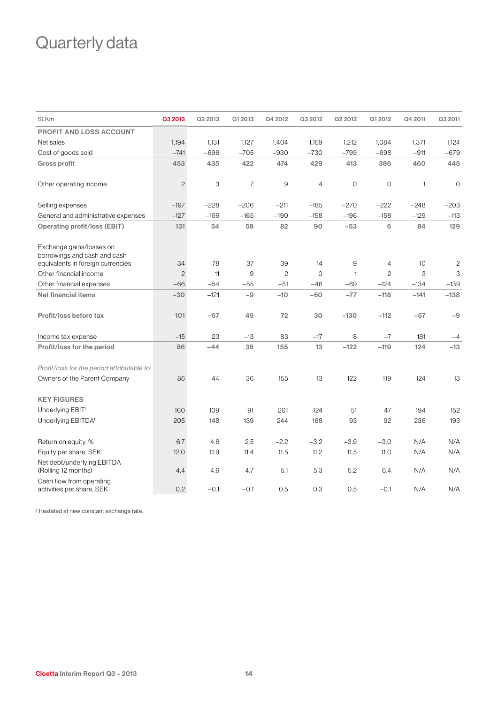# Quarterly data

| <b>SEKm</b>                                                                                   | Q3 2013        | Q2 2013 | Q1 2013 | Q4 2012 | Q3 2012        | Q2 2012      | Q1 2012        | Q4 2011      | Q3 2011        |
|-----------------------------------------------------------------------------------------------|----------------|---------|---------|---------|----------------|--------------|----------------|--------------|----------------|
| PROFIT AND LOSS ACCOUNT                                                                       |                |         |         |         |                |              |                |              |                |
| Net sales                                                                                     | 1,194          | 1,131   | 1,127   | 1,404   | 1,159          | 1,212        | 1,084          | 1,371        | 1,124          |
| Cost of goods sold                                                                            | $-741$         | $-696$  | $-705$  | $-930$  | $-730$         | $-799$       | $-698$         | $-911$       | $-679$         |
| <b>Gross profit</b>                                                                           | 453            | 435     | 422     | 474     | 429            | 413          | 386            | 460          | 445            |
| Other operating income                                                                        | $\overline{c}$ | 3       | 7       | 9       | $\overline{4}$ | $\mathbf 0$  | $\circ$        | $\mathbf{1}$ | $\overline{O}$ |
| Selling expenses                                                                              | $-197$         | $-228$  | $-206$  | $-211$  | $-185$         | $-270$       | $-222$         | $-248$       | $-203$         |
| General and administrative expenses                                                           | $-127$         | $-156$  | $-165$  | $-190$  | $-158$         | $-196$       | $-158$         | $-129$       | $-113$         |
| <b>Operating profit/loss (EBIT)</b>                                                           | 131            | 54      | 58      | 82      | 90             | $-53$        | 6              | 84           | 129            |
| Exchange gains/losses on<br>borrowings and cash and cash<br>equivalents in foreign currencies | 34             | $-78$   | 37      | 39      | $-14$          | $-9$         | 4              | $-10$        | $-2$           |
| Other financial income                                                                        | $\overline{c}$ | 11      | 9       | 2       | $\circ$        | $\mathbf{1}$ | $\overline{c}$ | 3            | 3              |
| Other financial expenses                                                                      | $-66$          | $-54$   | $-55$   | $-51$   | $-46$          | $-69$        | $-124$         | $-134$       | $-139$         |
| <b>Net financial items</b>                                                                    | $-30$          | $-121$  | $-9$    | $-10$   | $-60$          | $-77$        | $-118$         | $-141$       | $-138$         |
| Profit/loss before tax                                                                        | 101            | $-67$   | 49      | 72      | 30             | $-130$       | $-112$         | $-57$        | $-9$           |
| Income tax expense                                                                            | $-15$          | 23      | $-13$   | 83      | $-17$          | 8            | $-7$           | 181          | $-4$           |
| Profit/loss for the period                                                                    | 86             | $-44$   | 36      | 155     | 13             | $-122$       | $-119$         | 124          | $-13$          |
| Profit/loss for the period attributable to:                                                   |                |         |         |         |                |              |                |              |                |
| Owners of the Parent Company                                                                  | 86             | $-44$   | 36      | 155     | 13             | $-122$       | $-119$         | 124          | $-13$          |
| <b>KEY FIGURES</b>                                                                            |                |         |         |         |                |              |                |              |                |
| Underlying EBIT <sup>1</sup>                                                                  | 160            | 109     | 91      | 201     | 124            | 51           | 47             | 194          | 152            |
| Underlying EBITDA <sup>1</sup>                                                                | 205            | 148     | 139     | 244     | 168            | 93           | 92             | 236          | 193            |
| Return on equity, %                                                                           | 6.7            | 4.6     | 2.5     | $-2.2$  | $-3.2$         | $-3.9$       | $-3.0$         | N/A          | N/A            |
| Equity per share, SEK                                                                         | 12.0           | 11.9    | 11.4    | 11.5    | 11.2           | 11.5         | 11.0           | N/A          | N/A            |
| Net debt/underlying EBITDA<br>(Rolling 12 months)                                             | 4.4            | 4.6     | 4.7     | 5.1     | 5.3            | 5.2          | 6.4            | N/A          | N/A            |
| Cash flow from operating<br>activities per share, SEK                                         | 0.2            | $-0.1$  | $-0.1$  | 0.5     | 0.3            | 0.5          | $-0.1$         | N/A          | N/A            |

1 Restated at new constant exchange rate.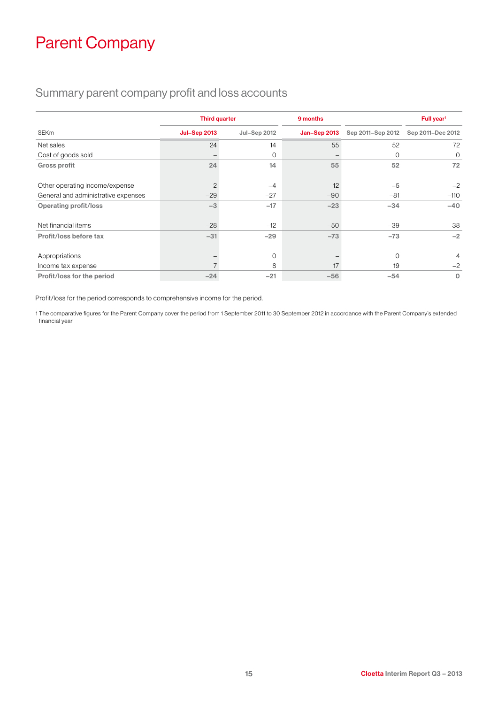# Parent Company

### Summary parent company profit and loss accounts

|                                     | <b>Third quarter</b> |              | 9 months            |                   | Full year <sup>1</sup> |
|-------------------------------------|----------------------|--------------|---------------------|-------------------|------------------------|
| <b>SEKm</b>                         | <b>Jul-Sep 2013</b>  | Jul-Sep 2012 | <b>Jan-Sep 2013</b> | Sep 2011-Sep 2012 | Sep 2011-Dec 2012      |
| Net sales                           | 24                   | 14           | 55                  | 52                | 72                     |
| Cost of goods sold                  |                      | $\circ$      |                     | $\Omega$          | 0                      |
| <b>Gross profit</b>                 | 24                   | 14           | 55                  | 52                | 72                     |
| Other operating income/expense      | 2                    | $-4$         | 12                  | $-5$              | $-2$                   |
| General and administrative expenses | $-29$                | $-27$        | $-90$               | $-81$             | $-110$                 |
| <b>Operating profit/loss</b>        | $-3$                 | $-17$        | $-23$               | $-34$             | $-40$                  |
| Net financial items                 | $-28$                | $-12$        | $-50$               | $-39$             | 38                     |
| Profit/loss before tax              | $-31$                | $-29$        | $-73$               | $-73$             | $-2$                   |
| Appropriations                      |                      | $\mathbf{O}$ |                     | $\Omega$          | $\overline{4}$         |
| Income tax expense                  |                      | 8            | 17                  | 19                | $-2$                   |
| Profit/loss for the period          | $-24$                | $-21$        | $-56$               | $-54$             | O                      |

Profit/loss for the period corresponds to comprehensive income for the period.

1 The comparative figures for the Parent Company cover the period from 1 September 2011 to 30 September 2012 in accordance with the Parent Company's extended financial year.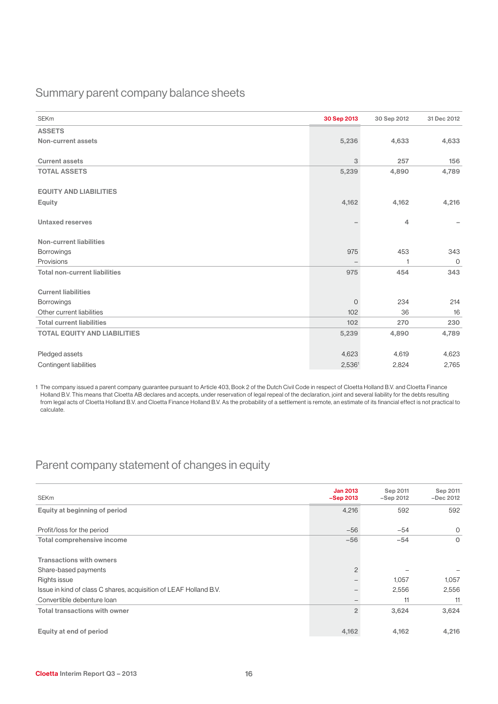### Summary parent company balance sheets

| <b>SEKm</b>                          | 30 Sep 2013              | 30 Sep 2012 | 31 Dec 2012 |
|--------------------------------------|--------------------------|-------------|-------------|
| <b>ASSETS</b>                        |                          |             |             |
| Non-current assets                   | 5,236                    | 4,633       | 4,633       |
| <b>Current assets</b>                | 3                        | 257         | 156         |
| <b>TOTAL ASSETS</b>                  | 5,239                    | 4,890       | 4,789       |
| <b>EQUITY AND LIABILITIES</b>        |                          |             |             |
| Equity                               | 4,162                    | 4,162       | 4,216       |
| <b>Untaxed reserves</b>              |                          | 4           |             |
| <b>Non-current liabilities</b>       |                          |             |             |
| Borrowings                           | 975                      | 453         | 343         |
| Provisions                           | $\overline{\phantom{0}}$ |             | $\mathbf 0$ |
| <b>Total non-current liabilities</b> | 975                      | 454         | 343         |
| <b>Current liabilities</b>           |                          |             |             |
| <b>Borrowings</b>                    | $\mathcal{O}$            | 234         | 214         |
| Other current liabilities            | 102                      | 36          | 16          |
| <b>Total current liabilities</b>     | 102                      | 270         | 230         |
| <b>TOTAL EQUITY AND LIABILITIES</b>  | 5,239                    | 4,890       | 4,789       |
| Pledged assets                       | 4,623                    | 4,619       | 4,623       |
| Contingent liabilities               | 2,536 <sup>1</sup>       | 2,824       | 2,765       |

1 The company issued a parent company guarantee pursuant to Article 403, Book 2 of the Dutch Civil Code in respect of Cloetta Holland B.V. and Cloetta Finance Holland B.V. This means that Cloetta AB declares and accepts, under reservation of legal repeal of the declaration, joint and several liability for the debts resulting from legal acts of Cloetta Holland B.V. and Cloetta Finance Holland B.V. As the probability of a settlement is remote, an estimate of its financial effect is not practical to calculate.

### Parent company statement of changes in equity

| <b>SEKm</b>                                                       | <b>Jan 2013</b><br>$-Sep 2013$ | Sep 2011<br>$-Sep 2012$ | Sep 2011<br>$-$ Dec 2012 |
|-------------------------------------------------------------------|--------------------------------|-------------------------|--------------------------|
| Equity at beginning of period                                     | 4,216                          | 592                     | 592                      |
| Profit/loss for the period                                        | $-56$                          | $-54$                   | $\circ$                  |
| Total comprehensive income                                        | $-56$                          | $-54$                   | $\Omega$                 |
| <b>Transactions with owners</b>                                   |                                |                         |                          |
| Share-based payments                                              | $\overline{c}$                 |                         |                          |
| Rights issue                                                      |                                | 1,057                   | 1,057                    |
| Issue in kind of class C shares, acquisition of LEAF Holland B.V. |                                | 2,556                   | 2,556                    |
| Convertible debenture loan                                        | –                              | 11                      | 11                       |
| <b>Total transactions with owner</b>                              | $\overline{2}$                 | 3,624                   | 3,624                    |
| Equity at end of period                                           | 4,162                          | 4,162                   | 4,216                    |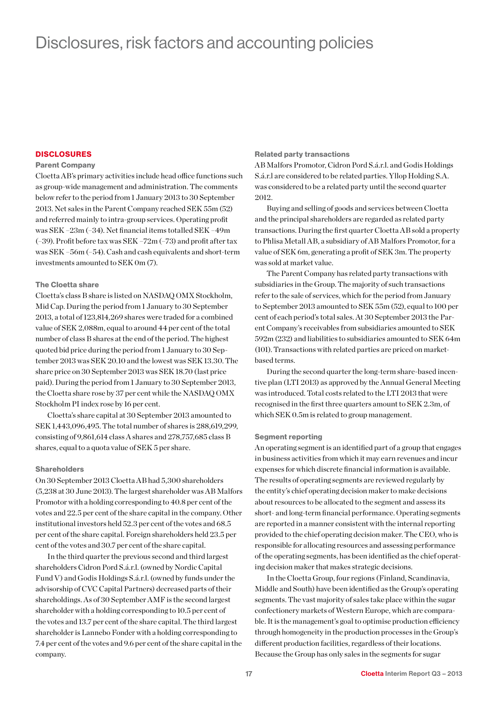### Disclosures, risk factors and accounting policies

#### **DISCLOSURES**

#### Parent Company

Cloetta AB's primary activities include head office functions such as group-wide management and administration. The comments below refer to the period from 1 January 2013 to 30 September 2013. Net sales in the Parent Company reached SEK 55m (52) and referred mainly to intra-group services. Operating profit was SEK –23m (–34). Net financial items totalled SEK –49m (–39). Profit before tax was SEK –72m (–73) and profit after tax was SEK –56m (–54). Cash and cash equivalents and short-term investments amounted to SEK 0m (7).

#### The Cloetta share

Cloetta's class B share is listed on NASDAQ OMX Stockholm, Mid Cap. During the period from 1 January to 30 September 2013, a total of 123,814,269 shares were traded for a combined value of SEK 2,088m, equal to around 44 per cent of the total number of class B shares at the end of the period. The highest quoted bid price during the period from 1 January to 30 September 2013 was SEK 20.10 and the lowest was SEK 13.30. The share price on 30 September 2013 was SEK 18.70 (last price paid). During the period from 1 January to 30 September 2013, the Cloetta share rose by 37 per cent while the NASDAQ OMX Stockholm PI index rose by 16 per cent.

Cloetta's share capital at 30 September 2013 amounted to SEK 1,443,096,495. The total number of shares is 288,619,299, consisting of 9,861,614 class A shares and 278,757,685 class B shares, equal to a quota value of SEK 5 per share.

#### **Shareholders**

On 30 September 2013 Cloetta AB had 5,300 shareholders (5,238 at 30 June 2013). The largest shareholder was AB Malfors Promotor with a holding corresponding to 40.8 per cent of the votes and 22.5 per cent of the share capital in the company. Other institutional investors held 52.3 per cent of the votes and 68.5 per cent of the share capital. Foreign shareholders held 23.5 per cent of the votes and 30.7 per cent of the share capital.

In the third quarter the previous second and third largest shareholders Cidron Pord S.á.r.l. (owned by Nordic Capital Fund V) and Godis Holdings S.á.r.l. (owned by funds under the advisorship of CVC Capital Partners) decreased parts of their shareholdings. As of 30 September AMF is the second largest shareholder with a holding corresponding to 10.5 per cent of the votes and 13.7 per cent of the share capital. The third largest shareholder is Lannebo Fonder with a holding corresponding to 7.4 per cent of the votes and 9.6 per cent of the share capital in the company.

#### Related party transactions

AB Malfors Promotor, Cidron Pord S.á.r.l. and Godis Holdings S.á.r.l are considered to be related parties. Yllop Holding S.A. was considered to be a related party until the second quarter 2012.

Buying and selling of goods and services between Cloetta and the principal shareholders are regarded as related party transactions. During the first quarter Cloetta AB sold a property to Phlisa Metall AB, a subsidiary of AB Malfors Promotor, for a value of SEK 6m, generating a profit of SEK 3m. The property was sold at market value.

The Parent Company has related party transactions with subsidiaries in the Group. The majority of such transactions refer to the sale of services, which for the period from January to September 2013 amounted to SEK 55m (52), equal to 100 per cent of each period's total sales. At 30 September 2013 the Parent Company's receivables from subsidiaries amounted to SEK 592m (232) and liabilities to subsidiaries amounted to SEK 64m (101). Transactions with related parties are priced on marketbased terms.

During the second quarter the long-term share-based incentive plan (LTI 2013) as approved by the Annual General Meeting was introduced. Total costs related to the LTI 2013 that were recognised in the first three quarters amount to SEK 2.3m, of which SEK 0.5m is related to group management.

#### Segment reporting

An operating segment is an identified part of a group that engages in business activities from which it may earn revenues and incur expenses for which discrete financial information is available. The results of operating segments are reviewed regularly by the entity's chief operating decision maker to make decisions about resources to be allocated to the segment and assess its short- and long-term financial performance. Operating segments are reported in a manner consistent with the internal reporting provided to the chief operating decision maker. The CEO, who is responsible for allocating resources and assessing performance of the operating segments, has been identified as the chief operating decision maker that makes strategic decisions.

In the Cloetta Group, four regions (Finland, Scandinavia, Middle and South) have been identified as the Group's operating segments. The vast majority of sales take place within the sugar confectionery markets of Western Europe, which are comparable. It is the management's goal to optimise production efficiency through homogeneity in the production processes in the Group's different production facilities, regardless of their locations. Because the Group has only sales in the segments for sugar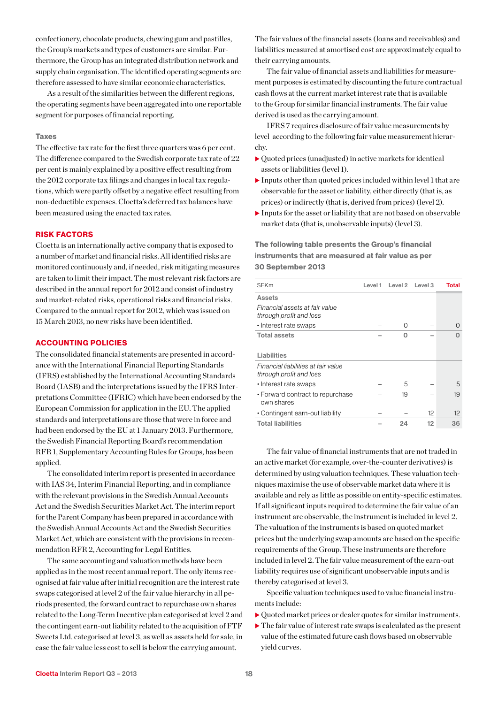confectionery, chocolate products, chewing gum and pastilles, the Group's markets and types of customers are similar. Furthermore, the Group has an integrated distribution network and supply chain organisation. The identified operating segments are therefore assessed to have similar economic characteristics.

As a result of the similarities between the different regions, the operating segments have been aggregated into one reportable segment for purposes of financial reporting.

#### Taxes

The effective tax rate for the first three quarters was 6 per cent. The difference compared to the Swedish corporate tax rate of 22 per cent is mainly explained by a positive effect resulting from the 2012 corporate tax filings and changes in local tax regulations, which were partly offset by a negative effect resulting from non-deductible expenses. Cloetta's deferred tax balances have been measured using the enacted tax rates.

#### RISK FACTORS

Cloetta is an internationally active company that is exposed to a number of market and financial risks. All identified risks are monitored continuously and, if needed, risk mitigating measures are taken to limit their impact. The most relevant risk factors are described in the annual report for 2012 and consist of industry and market-related risks, operational risks and financial risks. Compared to the annual report for 2012, which was issued on 15 March 2013, no new risks have been identified.

#### ACCOUNTING POLICIES

The consolidated financial statements are presented in accordance with the International Financial Reporting Standards (IFRS) established by the International Accounting Standards Board (IASB) and the interpretations issued by the IFRS Interpretations Committee (IFRIC) which have been endorsed by the European Commission for application in the EU. The applied standards and interpretations are those that were in force and had been endorsed by the EU at 1 January 2013. Furthermore, the Swedish Financial Reporting Board's recommendation RFR 1, Supplementary Accounting Rules for Groups, has been applied.

The consolidated interim report is presented in accordance with IAS 34, Interim Financial Reporting, and in compliance with the relevant provisions in the Swedish Annual Accounts Act and the Swedish Securities Market Act. The interim report for the Parent Company has been prepared in accordance with the Swedish Annual Accounts Act and the Swedish Securities Market Act, which are consistent with the provisions in recommendation RFR 2, Accounting for Legal Entities.

The same accounting and valuation methods have been applied as in the most recent annual report. The only items recognised at fair value after initial recognition are the interest rate swaps categorised at level 2 of the fair value hierarchy in all periods presented, the forward contract to repurchase own shares related to the Long-Term Incentive plan categorised at level 2 and the contingent earn-out liability related to the acquisition of FTF Sweets Ltd. categorised at level 3, as well as assets held for sale, in case the fair value less cost to sell is below the carrying amount.

The fair values of the financial assets (loans and receivables) and liabilities measured at amortised cost are approximately equal to their carrying amounts.

The fair value of financial assets and liabilities for measurement purposes is estimated by discounting the future contractual cash flows at the current market interest rate that is available to the Group for similar financial instruments. The fair value derived is used as the carrying amount.

IFRS 7 requires disclosure of fair value measurements by level according to the following fair value measurement hierarchy.

- $\blacktriangleright$  Quoted prices (unadjusted) in active markets for identical assets or liabilities (level 1).
- Inputs other than quoted prices included within level  $1$  that are observable for the asset or liability, either directly (that is, as prices) or indirectly (that is, derived from prices) (level 2).
- $\blacktriangleright$  Inputs for the asset or liability that are not based on observable market data (that is, unobservable inputs) (level 3).

#### The following table presents the Group's financial instruments that are measured at fair value as per 30 September 2013

| <b>SEKm</b>                                                    | Level 1 | Level 2 Level 3 |    | Total            |
|----------------------------------------------------------------|---------|-----------------|----|------------------|
| Assets                                                         |         |                 |    |                  |
| Financial assets at fair value<br>through profit and loss      |         |                 |    |                  |
| • Interest rate swaps                                          |         | ∩               |    | $\left( \right)$ |
| <b>Total assets</b>                                            |         | Ω               |    |                  |
| Liabilities                                                    |         |                 |    |                  |
| Financial liabilities at fair value<br>through profit and loss |         |                 |    |                  |
| • Interest rate swaps                                          |         | 5               |    | 5                |
| • Forward contract to repurchase<br>own shares                 |         | 19              |    | 19               |
| • Contingent earn-out liability                                |         |                 | 12 | 12               |
| <b>Total liabilities</b>                                       |         | 24              | 12 | 36               |

The fair value of financial instruments that are not traded in an active market (for example, over-the-counter derivatives) is determined by using valuation techniques. These valuation techniques maximise the use of observable market data where it is available and rely as little as possible on entity-specific estimates. If all significant inputs required to determine the fair value of an instrument are observable, the instrument is included in level 2. The valuation of the instruments is based on quoted market prices but the underlying swap amounts are based on the specific requirements of the Group. These instruments are therefore included in level 2. The fair value measurement of the earn-out liability requires use of significant unobservable inputs and is thereby categorised at level 3.

Specific valuation techniques used to value financial instruments include:

- $\triangleright$  Quoted market prices or dealer quotes for similar instruments.
- $\blacktriangleright$  The fair value of interest rate swaps is calculated as the present value of the estimated future cash flows based on observable yield curves.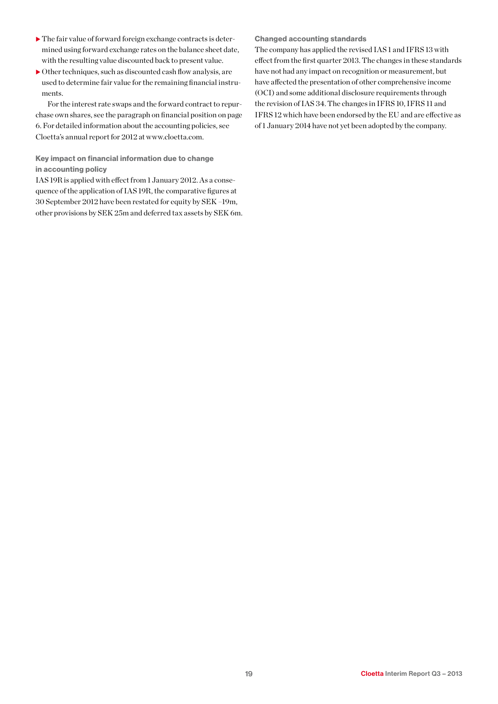- $\blacktriangleright$  The fair value of forward foreign exchange contracts is determined using forward exchange rates on the balance sheet date, with the resulting value discounted back to present value.
- $\triangleright$  Other techniques, such as discounted cash flow analysis, are used to determine fair value for the remaining financial instruments.

For the interest rate swaps and the forward contract to repurchase own shares, see the paragraph on financial position on page 6. For detailed information about the accounting policies, see Cloetta's annual report for 2012 at www.cloetta.com.

Key impact on financial information due to change in accounting policy

IAS 19R is applied with effect from 1 January 2012. As a consequence of the application of IAS 19R, the comparative figures at 30 September 2012 have been restated for equity by SEK –19m, other provisions by SEK 25m and deferred tax assets by SEK 6m. Changed accounting standards

The company has applied the revised IAS 1 and IFRS 13 with effect from the first quarter 2013. The changes in these standards have not had any impact on recognition or measurement, but have affected the presentation of other comprehensive income (OCI) and some additional disclosure requirements through the revision of IAS 34. The changes in IFRS 10, IFRS 11 and IFRS 12 which have been endorsed by the EU and are effective as of 1 January 2014 have not yet been adopted by the company.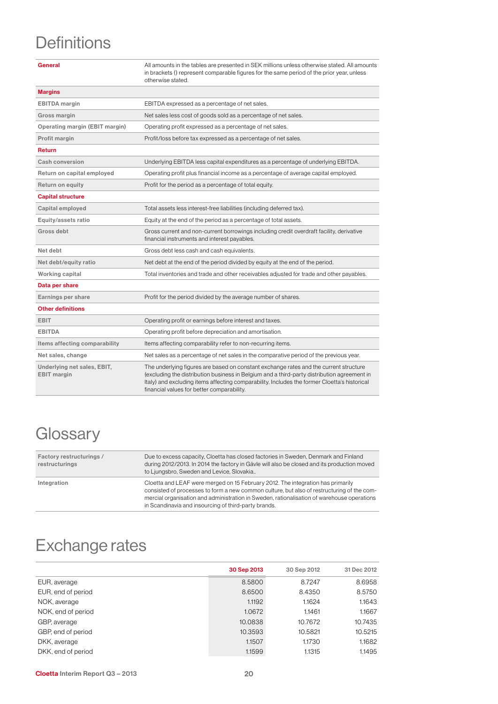# **Definitions**

| General                                           | All amounts in the tables are presented in SEK millions unless otherwise stated. All amounts<br>in brackets () represent comparable figures for the same period of the prior year, unless<br>otherwise stated.                                                                                                                     |  |
|---------------------------------------------------|------------------------------------------------------------------------------------------------------------------------------------------------------------------------------------------------------------------------------------------------------------------------------------------------------------------------------------|--|
| <b>Margins</b>                                    |                                                                                                                                                                                                                                                                                                                                    |  |
| <b>EBITDA</b> margin                              | EBITDA expressed as a percentage of net sales.                                                                                                                                                                                                                                                                                     |  |
| Gross margin                                      | Net sales less cost of goods sold as a percentage of net sales.                                                                                                                                                                                                                                                                    |  |
| <b>Operating margin (EBIT margin)</b>             | Operating profit expressed as a percentage of net sales.                                                                                                                                                                                                                                                                           |  |
| Profit margin                                     | Profit/loss before tax expressed as a percentage of net sales.                                                                                                                                                                                                                                                                     |  |
| <b>Return</b>                                     |                                                                                                                                                                                                                                                                                                                                    |  |
| Cash conversion                                   | Underlying EBITDA less capital expenditures as a percentage of underlying EBITDA.                                                                                                                                                                                                                                                  |  |
| Return on capital employed                        | Operating profit plus financial income as a percentage of average capital employed.                                                                                                                                                                                                                                                |  |
| Return on equity                                  | Profit for the period as a percentage of total equity.                                                                                                                                                                                                                                                                             |  |
| <b>Capital structure</b>                          |                                                                                                                                                                                                                                                                                                                                    |  |
| Capital employed                                  | Total assets less interest-free liabilities (including deferred tax).                                                                                                                                                                                                                                                              |  |
| Equity/assets ratio                               | Equity at the end of the period as a percentage of total assets.                                                                                                                                                                                                                                                                   |  |
| Gross debt                                        | Gross current and non-current borrowings including credit overdraft facility, derivative<br>financial instruments and interest payables.                                                                                                                                                                                           |  |
| Net debt                                          | Gross debt less cash and cash equivalents.                                                                                                                                                                                                                                                                                         |  |
| Net debt/equity ratio                             | Net debt at the end of the period divided by equity at the end of the period.                                                                                                                                                                                                                                                      |  |
| Working capital                                   | Total inventories and trade and other receivables adjusted for trade and other payables.                                                                                                                                                                                                                                           |  |
| Data per share                                    |                                                                                                                                                                                                                                                                                                                                    |  |
| Earnings per share                                | Profit for the period divided by the average number of shares.                                                                                                                                                                                                                                                                     |  |
| <b>Other definitions</b>                          |                                                                                                                                                                                                                                                                                                                                    |  |
| <b>EBIT</b>                                       | Operating profit or earnings before interest and taxes.                                                                                                                                                                                                                                                                            |  |
| <b>EBITDA</b>                                     | Operating profit before depreciation and amortisation.                                                                                                                                                                                                                                                                             |  |
| Items affecting comparability                     | Items affecting comparability refer to non-recurring items.                                                                                                                                                                                                                                                                        |  |
| Net sales, change                                 | Net sales as a percentage of net sales in the comparative period of the previous year.                                                                                                                                                                                                                                             |  |
| Underlying net sales, EBIT,<br><b>EBIT</b> margin | The underlying figures are based on constant exchange rates and the current structure<br>(excluding the distribution business in Belgium and a third-party distribution agreement in<br>Italy) and excluding items affecting comparability. Includes the former Cloetta's historical<br>financial values for better comparability. |  |

# **Glossary**

| Factory restructurings /<br>restructurings | Due to excess capacity, Cloetta has closed factories in Sweden, Denmark and Finland<br>during 2012/2013. In 2014 the factory in Gävle will also be closed and its production moved<br>to Ljungsbro, Sweden and Levice, Slovakia                                                                                                     |
|--------------------------------------------|-------------------------------------------------------------------------------------------------------------------------------------------------------------------------------------------------------------------------------------------------------------------------------------------------------------------------------------|
| Integration                                | Cloetta and LEAF were merged on 15 February 2012. The integration has primarily<br>consisted of processes to form a new common culture, but also of restructuring of the com-<br>mercial organisation and administration in Sweden, rationalisation of warehouse operations<br>in Scandinavia and insourcing of third-party brands. |

# Exchange rates

|                    | 30 Sep 2013 | 30 Sep 2012 | 31 Dec 2012 |
|--------------------|-------------|-------------|-------------|
| EUR, average       | 8.5800      | 8.7247      | 8.6958      |
| EUR, end of period | 8.6500      | 8.4350      | 8.5750      |
| NOK, average       | 1.1192      | 1.1624      | 1.1643      |
| NOK, end of period | 1.0672      | 1.1461      | 1.1667      |
| GBP, average       | 10.0838     | 10.7672     | 10.7435     |
| GBP, end of period | 10.3593     | 10.5821     | 10.5215     |
| DKK, average       | 1.1507      | 1.1730      | 1.1682      |
| DKK, end of period | 1.1599      | 1.1315      | 1.1495      |